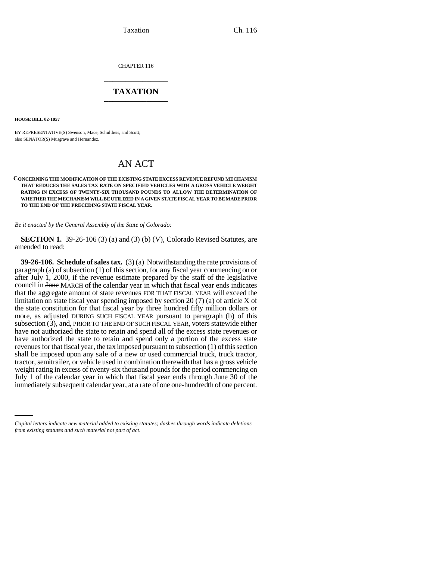Taxation Ch. 116

CHAPTER 116 \_\_\_\_\_\_\_\_\_\_\_\_\_\_\_

## **TAXATION** \_\_\_\_\_\_\_\_\_\_\_\_\_\_\_

**HOUSE BILL 02-1057**

BY REPRESENTATIVE(S) Swenson, Mace, Schultheis, and Scott; also SENATOR(S) Musgrave and Hernandez.

## AN ACT

## **CONCERNING THE MODIFICATION OF THE EXISTING STATE EXCESS REVENUE REFUND MECHANISM THAT REDUCES THE SALES TAX RATE ON SPECIFIED VEHICLES WITH A GROSS VEHICLE WEIGHT RATING IN EXCESS OF TWENTY-SIX THOUSAND POUNDS TO ALLOW THE DETERMINATION OF WHETHER THE MECHANISM WILL BE UTILIZED IN A GIVEN STATE FISCAL YEAR TO BE MADE PRIOR TO THE END OF THE PRECEDING STATE FISCAL YEAR.**

*Be it enacted by the General Assembly of the State of Colorado:*

**SECTION 1.** 39-26-106 (3) (a) and (3) (b) (V), Colorado Revised Statutes, are amended to read:

July 1 of the calendar year in which that fiscal year ends through June 30 of the **39-26-106. Schedule of sales tax.** (3) (a) Notwithstanding the rate provisions of paragraph (a) of subsection (1) of this section, for any fiscal year commencing on or after July 1, 2000, if the revenue estimate prepared by the staff of the legislative council in <del>June</del> MARCH of the calendar year in which that fiscal year ends indicates that the aggregate amount of state revenues FOR THAT FISCAL YEAR will exceed the limitation on state fiscal year spending imposed by section 20 (7) (a) of article X of the state constitution for that fiscal year by three hundred fifty million dollars or more, as adjusted DURING SUCH FISCAL YEAR pursuant to paragraph (b) of this subsection (3), and, PRIOR TO THE END OF SUCH FISCAL YEAR, voters statewide either have not authorized the state to retain and spend all of the excess state revenues or have authorized the state to retain and spend only a portion of the excess state revenues for that fiscal year, the tax imposed pursuant to subsection (1) of this section shall be imposed upon any sale of a new or used commercial truck, truck tractor, tractor, semitrailer, or vehicle used in combination therewith that has a gross vehicle weight rating in excess of twenty-six thousand pounds for the period commencing on immediately subsequent calendar year, at a rate of one one-hundredth of one percent.

*Capital letters indicate new material added to existing statutes; dashes through words indicate deletions from existing statutes and such material not part of act.*